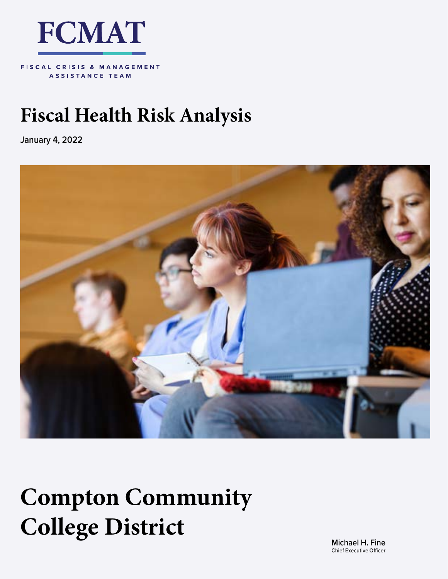

FISCAL CRISIS & MANAGEMENT **ASSISTANCE TEAM** 

# **Fiscal Health Risk Analysis**

**January 4, 2022**



# **Compton Community College District**

**Michael H. Fine** Chief Executive Officer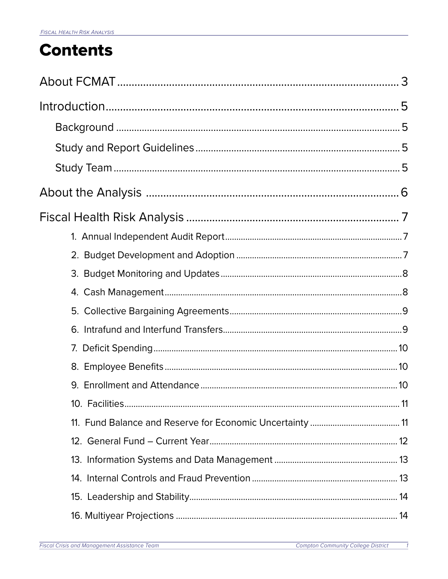# **Contents**

 $\overline{\phantom{a}}$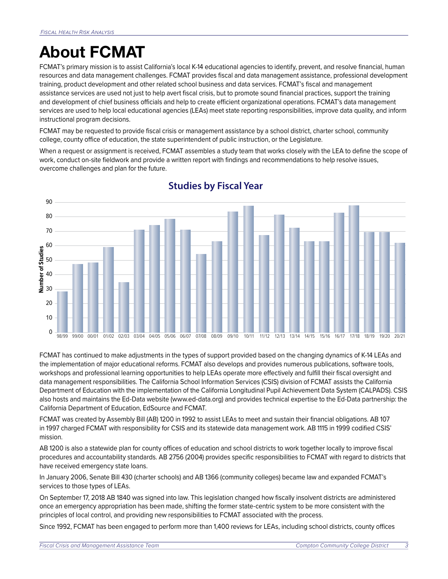# <span id="page-3-0"></span>**About FCMAT**

FCMAT's primary mission is to assist California's local K-14 educational agencies to identify, prevent, and resolve financial, human resources and data management challenges. FCMAT provides fiscal and data management assistance, professional development training, product development and other related school business and data services. FCMAT's fiscal and management assistance services are used not just to help avert fiscal crisis, but to promote sound financial practices, support the training and development of chief business officials and help to create efficient organizational operations. FCMAT's data management services are used to help local educational agencies (LEAs) meet state reporting responsibilities, improve data quality, and inform instructional program decisions.

FCMAT may be requested to provide fiscal crisis or management assistance by a school district, charter school, community college, county office of education, the state superintendent of public instruction, or the Legislature.

When a request or assignment is received, FCMAT assembles a study team that works closely with the LEA to define the scope of work, conduct on-site fieldwork and provide a written report with findings and recommendations to help resolve issues, overcome challenges and plan for the future.



# **Studies by Fiscal Year**

FCMAT has continued to make adjustments in the types of support provided based on the changing dynamics of K-14 LEAs and the implementation of major educational reforms. FCMAT also develops and provides numerous publications, software tools, workshops and professional learning opportunities to help LEAs operate more effectively and fulfill their fiscal oversight and data management responsibilities. The California School Information Services (CSIS) division of FCMAT assists the California Department of Education with the implementation of the California Longitudinal Pupil Achievement Data System (CALPADS). CSIS also hosts and maintains the Ed-Data website (www.ed-data.org) and provides technical expertise to the Ed-Data partnership: the California Department of Education, EdSource and FCMAT.

FCMAT was created by Assembly Bill (AB) 1200 in 1992 to assist LEAs to meet and sustain their financial obligations. AB 107 in 1997 charged FCMAT with responsibility for CSIS and its statewide data management work. AB 1115 in 1999 codified CSIS' mission.

AB 1200 is also a statewide plan for county offices of education and school districts to work together locally to improve fiscal procedures and accountability standards. AB 2756 (2004) provides specific responsibilities to FCMAT with regard to districts that have received emergency state loans.

In January 2006, Senate Bill 430 (charter schools) and AB 1366 (community colleges) became law and expanded FCMAT's services to those types of LEAs.

On September 17, 2018 AB 1840 was signed into law. This legislation changed how fiscally insolvent districts are administered once an emergency appropriation has been made, shifting the former state-centric system to be more consistent with the principles of local control, and providing new responsibilities to FCMAT associated with the process.

Since 1992, FCMAT has been engaged to perform more than 1,400 reviews for LEAs, including school districts, county offices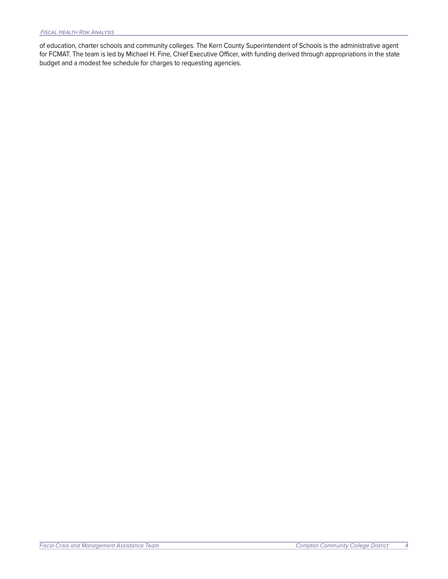of education, charter schools and community colleges. The Kern County Superintendent of Schools is the administrative agent for FCMAT. The team is led by Michael H. Fine, Chief Executive Officer, with funding derived through appropriations in the state budget and a modest fee schedule for charges to requesting agencies.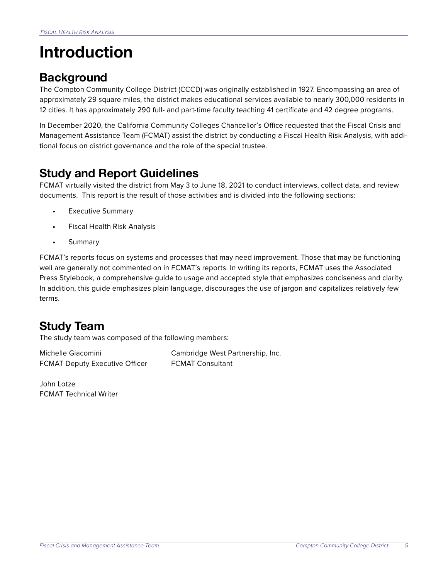# <span id="page-5-0"></span>**Introduction**

# **Background**

The Compton Community College District (CCCD) was originally established in 1927. Encompassing an area of approximately 29 square miles, the district makes educational services available to nearly 300,000 residents in 12 cities. It has approximately 290 full- and part-time faculty teaching 41 certificate and 42 degree programs.

In December 2020, the California Community Colleges Chancellor's Office requested that the Fiscal Crisis and Management Assistance Team (FCMAT) assist the district by conducting a Fiscal Health Risk Analysis, with additional focus on district governance and the role of the special trustee.

# **Study and Report Guidelines**

FCMAT virtually visited the district from May 3 to June 18, 2021 to conduct interviews, collect data, and review documents. This report is the result of those activities and is divided into the following sections:

- **•** Executive Summary
- **•** Fiscal Health Risk Analysis
- **•** Summary

FCMAT's reports focus on systems and processes that may need improvement. Those that may be functioning well are generally not commented on in FCMAT's reports. In writing its reports, FCMAT uses the Associated Press Stylebook, a comprehensive guide to usage and accepted style that emphasizes conciseness and clarity. In addition, this guide emphasizes plain language, discourages the use of jargon and capitalizes relatively few terms.

# **Study Team**

The study team was composed of the following members:

FCMAT Deputy Executive Officer FCMAT Consultant

Michelle Giacomini Cambridge West Partnership, Inc.

John Lotze FCMAT Technical Writer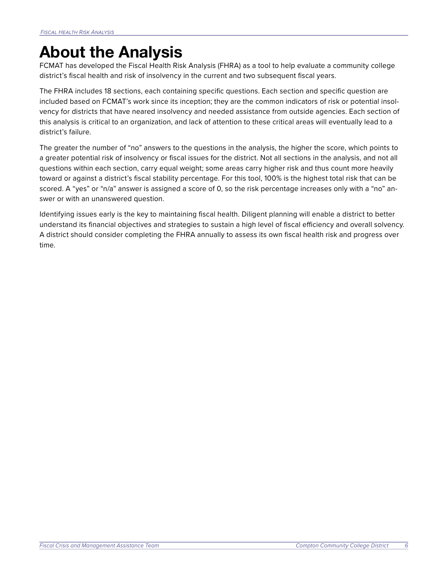# <span id="page-6-0"></span>**About the Analysis**

FCMAT has developed the Fiscal Health Risk Analysis (FHRA) as a tool to help evaluate a community college district's fiscal health and risk of insolvency in the current and two subsequent fiscal years.

The FHRA includes 18 sections, each containing specific questions. Each section and specific question are included based on FCMAT's work since its inception; they are the common indicators of risk or potential insolvency for districts that have neared insolvency and needed assistance from outside agencies. Each section of this analysis is critical to an organization, and lack of attention to these critical areas will eventually lead to a district's failure.

The greater the number of "no" answers to the questions in the analysis, the higher the score, which points to a greater potential risk of insolvency or fiscal issues for the district. Not all sections in the analysis, and not all questions within each section, carry equal weight; some areas carry higher risk and thus count more heavily toward or against a district's fiscal stability percentage. For this tool, 100% is the highest total risk that can be scored. A "yes" or "n/a" answer is assigned a score of 0, so the risk percentage increases only with a "no" answer or with an unanswered question.

Identifying issues early is the key to maintaining fiscal health. Diligent planning will enable a district to better understand its financial objectives and strategies to sustain a high level of fiscal efficiency and overall solvency. A district should consider completing the FHRA annually to assess its own fiscal health risk and progress over time.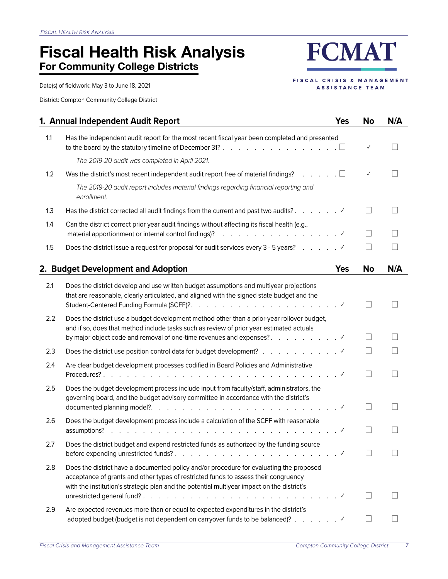# <span id="page-7-0"></span>**Fiscal Health Risk Analysis For Community College Districts**

Date(s) of fieldwork: May 3 to June 18, 2021

District: Compton Community College District

**FCMAT** 

FISCAL CRISIS & MANAGEMENT ASSISTANCE TEAM

|     | 1. Annual Independent Audit Report                                                                                                                                                                                                                                           | <b>Yes</b> | <b>No</b>                | N/A |
|-----|------------------------------------------------------------------------------------------------------------------------------------------------------------------------------------------------------------------------------------------------------------------------------|------------|--------------------------|-----|
| 1.1 | Has the independent audit report for the most recent fiscal year been completed and presented<br>to the board by the statutory timeline of December 31? $\ldots$ , $\ldots$ , $\ldots$ , $\ldots$ , $\ldots$                                                                 |            | $\checkmark$             |     |
|     | The 2019-20 audit was completed in April 2021.                                                                                                                                                                                                                               |            |                          |     |
| 1.2 | Was the district's most recent independent audit report free of material findings? $\ldots \ldots \square$                                                                                                                                                                   |            | $\checkmark$             |     |
|     | The 2019-20 audit report includes material findings regarding financial reporting and<br>enrollment.                                                                                                                                                                         |            |                          |     |
| 1.3 | Has the district corrected all audit findings from the current and past two audits? $\ldots$ , $\ldots$                                                                                                                                                                      |            | $\mathbf{I}$             |     |
| 1.4 | Can the district correct prior year audit findings without affecting its fiscal health (e.g.,<br>material apportionment or internal control findings)?<br>.                                                                                                                  |            | $\overline{\phantom{a}}$ |     |
| 1.5 |                                                                                                                                                                                                                                                                              |            |                          |     |
|     | 2. Budget Development and Adoption                                                                                                                                                                                                                                           | <b>Yes</b> | <b>No</b>                | N/A |
| 2.1 | Does the district develop and use written budget assumptions and multiyear projections<br>that are reasonable, clearly articulated, and aligned with the signed state budget and the                                                                                         |            |                          |     |
| 2.2 | Does the district use a budget development method other than a prior-year rollover budget,<br>and if so, does that method include tasks such as review of prior year estimated actuals                                                                                       |            |                          |     |
| 2.3 |                                                                                                                                                                                                                                                                              |            |                          |     |
| 2.4 | Are clear budget development processes codified in Board Policies and Administrative                                                                                                                                                                                         |            | $\overline{\phantom{a}}$ |     |
| 2.5 | Does the budget development process include input from faculty/staff, administrators, the<br>governing board, and the budget advisory committee in accordance with the district's                                                                                            |            |                          |     |
| 2.6 | Does the budget development process include a calculation of the SCFF with reasonable                                                                                                                                                                                        |            |                          |     |
| 2.7 | Does the district budget and expend restricted funds as authorized by the funding source                                                                                                                                                                                     |            |                          |     |
| 2.8 | Does the district have a documented policy and/or procedure for evaluating the proposed<br>acceptance of grants and other types of restricted funds to assess their congruency<br>with the institution's strategic plan and the potential multiyear impact on the district's |            |                          |     |
| 2.9 | Are expected revenues more than or equal to expected expenditures in the district's                                                                                                                                                                                          |            | П                        |     |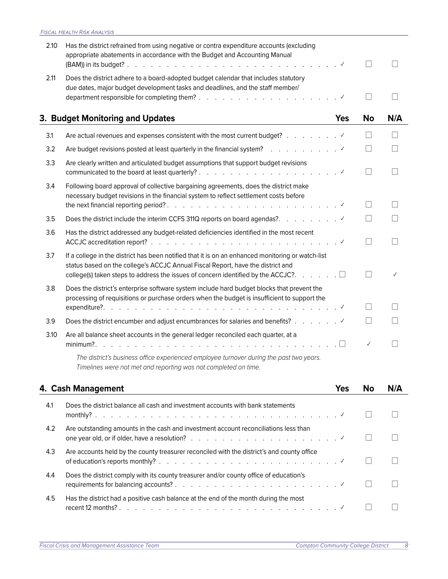<span id="page-8-0"></span>

| 2.10 | Has the district refrained from using negative or contra expenditure accounts (excluding<br>appropriate abatements in accordance with the Budget and Accounting Manual                                                                                                                    |            |                          |              |
|------|-------------------------------------------------------------------------------------------------------------------------------------------------------------------------------------------------------------------------------------------------------------------------------------------|------------|--------------------------|--------------|
| 2.11 | Does the district adhere to a board-adopted budget calendar that includes statutory<br>due dates, major budget development tasks and deadlines, and the staff member/                                                                                                                     |            |                          |              |
|      | 3. Budget Monitoring and Updates                                                                                                                                                                                                                                                          | <b>Yes</b> | <b>No</b>                | N/A          |
| 3.1  | Are actual revenues and expenses consistent with the most current budget? $\ldots$ $\ldots$                                                                                                                                                                                               |            | $\vert \ \ \vert$        | П            |
| 3.2  | Are budget revisions posted at least quarterly in the financial system? $\ldots$ $\ldots$ $\ldots$ $\ldots$                                                                                                                                                                               |            | $\overline{\phantom{a}}$ |              |
| 3.3  | Are clearly written and articulated budget assumptions that support budget revisions                                                                                                                                                                                                      |            |                          |              |
| 3.4  | Following board approval of collective bargaining agreements, does the district make<br>necessary budget revisions in the financial system to reflect settlement costs before                                                                                                             |            |                          |              |
| 3.5  |                                                                                                                                                                                                                                                                                           |            |                          |              |
| 3.6  | Has the district addressed any budget-related deficiencies identified in the most recent                                                                                                                                                                                                  |            | $\overline{\phantom{a}}$ |              |
| 3.7  | If a college in the district has been notified that it is on an enhanced monitoring or watch-list<br>status based on the college's ACCJC Annual Fiscal Report, have the district and<br>college(s) taken steps to address the issues of concern identified by the ACCJC?. $\dots$ $\dots$ |            |                          | $\checkmark$ |
| 3.8  | Does the district's enterprise software system include hard budget blocks that prevent the<br>processing of requisitions or purchase orders when the budget is insufficient to support the                                                                                                |            |                          |              |
| 3.9  |                                                                                                                                                                                                                                                                                           |            |                          |              |
| 3.10 | Are all balance sheet accounts in the general ledger reconciled each quarter, at a                                                                                                                                                                                                        |            | $\checkmark$             | H            |
|      | The district's business office experienced employee turnover during the past two years.<br>Timelines were not met and reporting was not completed on time.                                                                                                                                |            |                          |              |

|               | 4. Cash Management                                                                                                                                                                                                    | Yes | N/Δ |
|---------------|-----------------------------------------------------------------------------------------------------------------------------------------------------------------------------------------------------------------------|-----|-----|
| 4.1           | Does the district balance all cash and investment accounts with bank statements                                                                                                                                       |     |     |
| $4.2^{\circ}$ | Are outstanding amounts in the cash and investment account reconciliations less than<br>one year old, or if older, have a resolution? $\ldots$ $\ldots$ $\ldots$ $\ldots$ $\ldots$ $\ldots$ $\ldots$ $\ldots$         |     |     |
| 4.3           | Are accounts held by the county treasurer reconciled with the district's and county office                                                                                                                            |     |     |
| 4.4           | Does the district comply with its county treasurer and/or county office of education's                                                                                                                                |     |     |
| 4.5           | Has the district had a positive cash balance at the end of the month during the most<br>recent 12 months? $\ldots$ $\ldots$ $\ldots$ $\ldots$ $\ldots$ $\ldots$ $\ldots$ $\ldots$ $\ldots$ $\ldots$ $\ldots$ $\ldots$ |     |     |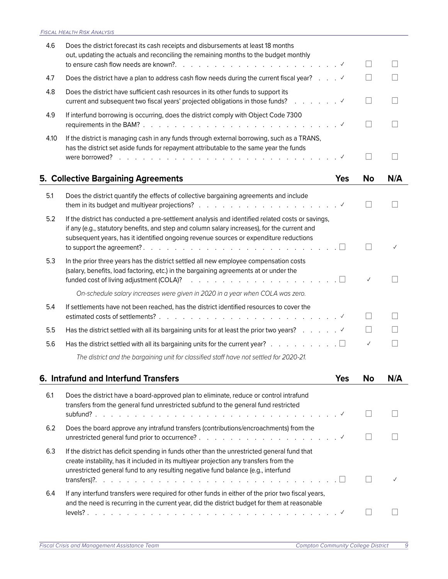<span id="page-9-0"></span>

| 4.6  | Does the district forecast its cash receipts and disbursements at least 18 months<br>out, updating the actuals and reconciling the remaining months to the budget monthly                                                                                                                                                                                                                                                                                                                                                                                                                                                                                                                                                                                   |         |              |     |
|------|-------------------------------------------------------------------------------------------------------------------------------------------------------------------------------------------------------------------------------------------------------------------------------------------------------------------------------------------------------------------------------------------------------------------------------------------------------------------------------------------------------------------------------------------------------------------------------------------------------------------------------------------------------------------------------------------------------------------------------------------------------------|---------|--------------|-----|
|      |                                                                                                                                                                                                                                                                                                                                                                                                                                                                                                                                                                                                                                                                                                                                                             |         |              |     |
| 4.7  | Does the district have a plan to address cash flow needs during the current fiscal year? $\ldots$                                                                                                                                                                                                                                                                                                                                                                                                                                                                                                                                                                                                                                                           |         |              |     |
| 4.8  | Does the district have sufficient cash resources in its other funds to support its<br>current and subsequent two fiscal years' projected obligations in those funds? (all cases of all controller view                                                                                                                                                                                                                                                                                                                                                                                                                                                                                                                                                      |         |              |     |
| 4.9  | If interfund borrowing is occurring, does the district comply with Object Code 7300                                                                                                                                                                                                                                                                                                                                                                                                                                                                                                                                                                                                                                                                         |         |              |     |
| 4.10 | If the district is managing cash in any funds through external borrowing, such as a TRANS,<br>has the district set aside funds for repayment attributable to the same year the funds<br>were borrowed?                                                                                                                                                                                                                                                                                                                                                                                                                                                                                                                                                      |         |              |     |
|      | 5. Collective Bargaining Agreements                                                                                                                                                                                                                                                                                                                                                                                                                                                                                                                                                                                                                                                                                                                         | Yes     | <b>No</b>    | N/A |
| 5.1  | Does the district quantify the effects of collective bargaining agreements and include                                                                                                                                                                                                                                                                                                                                                                                                                                                                                                                                                                                                                                                                      |         |              |     |
| 5.2  | If the district has conducted a pre-settlement analysis and identified related costs or savings,<br>if any (e.g., statutory benefits, and step and column salary increases), for the current and<br>subsequent years, has it identified ongoing revenue sources or expenditure reductions<br>to support the agreement?. $\therefore$ $\therefore$ $\therefore$ $\therefore$ $\therefore$ $\therefore$ $\therefore$ $\therefore$ $\therefore$ $\therefore$ $\therefore$ $\therefore$ $\therefore$ $\therefore$ $\therefore$ $\therefore$ $\therefore$ $\therefore$ $\therefore$ $\therefore$ $\therefore$ $\therefore$ $\therefore$ $\therefore$ $\therefore$ $\therefore$ $\therefore$ $\therefore$ $\therefore$ $\therefore$ $\therefore$ $\therefore$ $\$ | $\perp$ |              |     |
| 5.3  | In the prior three years has the district settled all new employee compensation costs<br>(salary, benefits, load factoring, etc.) in the bargaining agreements at or under the                                                                                                                                                                                                                                                                                                                                                                                                                                                                                                                                                                              |         | $\checkmark$ |     |
|      | On-schedule salary increases were given in 2020 in a year when COLA was zero.                                                                                                                                                                                                                                                                                                                                                                                                                                                                                                                                                                                                                                                                               |         |              |     |
| 5.4  | If settlements have not been reached, has the district identified resources to cover the                                                                                                                                                                                                                                                                                                                                                                                                                                                                                                                                                                                                                                                                    |         |              |     |
| 5.5  | Has the district settled with all its bargaining units for at least the prior two years? $\ldots$ $\ldots$                                                                                                                                                                                                                                                                                                                                                                                                                                                                                                                                                                                                                                                  |         |              |     |
| 5.6  | Has the district settled with all its bargaining units for the current year? $\ldots$ , $\ldots$ , $\ldots$                                                                                                                                                                                                                                                                                                                                                                                                                                                                                                                                                                                                                                                 |         | $\checkmark$ |     |
|      | The district and the bargaining unit for classified staff have not settled for 2020-21.                                                                                                                                                                                                                                                                                                                                                                                                                                                                                                                                                                                                                                                                     |         |              |     |
|      | 6. Intrafund and Interfund Transfers                                                                                                                                                                                                                                                                                                                                                                                                                                                                                                                                                                                                                                                                                                                        | Yes     | No           | N/A |

| 6.1 | Does the district have a board-approved plan to eliminate, reduce or control intrafund<br>transfers from the general fund unrestricted subfund to the general fund restricted                                                                                              |  |
|-----|----------------------------------------------------------------------------------------------------------------------------------------------------------------------------------------------------------------------------------------------------------------------------|--|
| 6.2 | Does the board approve any intrafund transfers (contributions/encroachments) from the                                                                                                                                                                                      |  |
| 6.3 | If the district has deficit spending in funds other than the unrestricted general fund that<br>create instability, has it included in its multivear projection any transfers from the<br>unrestricted general fund to any resulting negative fund balance (e.g., interfund |  |
| 6.4 | If any interfund transfers were required for other funds in either of the prior two fiscal years,<br>and the need is recurring in the current year, did the district budget for them at reasonable                                                                         |  |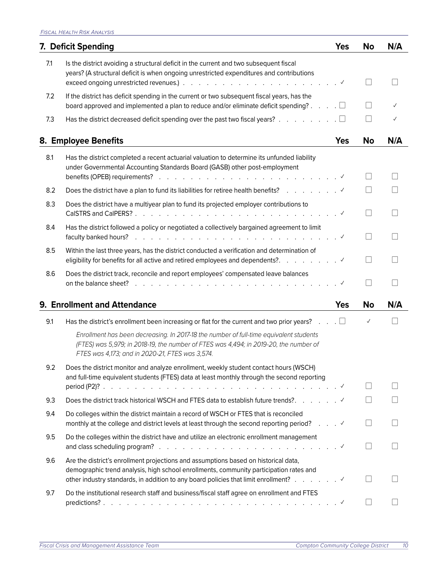<span id="page-10-0"></span>

|     | 7. Deficit Spending                                                                                                                                                                                                                                                                                  | <b>Yes</b> | <b>No</b>         | N/A |
|-----|------------------------------------------------------------------------------------------------------------------------------------------------------------------------------------------------------------------------------------------------------------------------------------------------------|------------|-------------------|-----|
| 7.1 | Is the district avoiding a structural deficit in the current and two subsequent fiscal<br>years? (A structural deficit is when ongoing unrestricted expenditures and contributions                                                                                                                   |            |                   |     |
| 7.2 | If the district has deficit spending in the current or two subsequent fiscal years, has the<br>board approved and implemented a plan to reduce and/or eliminate deficit spending? $\dots$ $\Box$                                                                                                     |            |                   |     |
| 7.3 | Has the district decreased deficit spending over the past two fiscal years? $\ldots$ , $\ldots$                                                                                                                                                                                                      |            |                   |     |
|     | 8. Employee Benefits                                                                                                                                                                                                                                                                                 | <b>Yes</b> | No                | N/A |
| 8.1 | Has the district completed a recent actuarial valuation to determine its unfunded liability<br>under Governmental Accounting Standards Board (GASB) other post-employment<br>benefits (OPEB) requirements? $\ldots$ $\ldots$ $\ldots$ $\ldots$ $\ldots$ $\ldots$ $\ldots$ $\ldots$ $\ldots$ $\ldots$ |            |                   |     |
| 8.2 |                                                                                                                                                                                                                                                                                                      |            |                   |     |
| 8.3 | Does the district have a multiyear plan to fund its projected employer contributions to                                                                                                                                                                                                              |            | $\vert \ \ \vert$ |     |
| 8.4 | Has the district followed a policy or negotiated a collectively bargained agreement to limit<br>faculty banked hours?                                                                                                                                                                                |            |                   |     |
| 8.5 | Within the last three years, has the district conducted a verification and determination of                                                                                                                                                                                                          |            |                   |     |
| 8.6 | Does the district track, reconcile and report employees' compensated leave balances<br>on the balance sheet?                                                                                                                                                                                         |            |                   |     |
|     | 9. Enrollment and Attendance                                                                                                                                                                                                                                                                         | <b>Yes</b> | <b>No</b>         | N/A |
| 9.1 | Has the district's enrollment been increasing or flat for the current and two prior years? $\Box$ $\Box$                                                                                                                                                                                             |            | $\checkmark$      |     |
|     | Enrollment has been decreasing. In 2017-18 the number of full-time equivalent students<br>(FTES) was 5,979; in 2018-19, the number of FTES was 4,494; in 2019-20, the number of<br>FTES was 4,173; and in 2020-21, FTES was 3,574.                                                                   |            |                   |     |
| 9.2 | Does the district monitor and analyze enrollment, weekly student contact hours (WSCH)<br>and full-time equivalent students (FTES) data at least monthly through the second reporting                                                                                                                 |            |                   |     |
|     |                                                                                                                                                                                                                                                                                                      |            |                   |     |
| 9.3 | Does the district track historical WSCH and FTES data to establish future trends?.                                                                                                                                                                                                                   |            |                   |     |
| 9.4 | Do colleges within the district maintain a record of WSCH or FTES that is reconciled<br>monthly at the college and district levels at least through the second reporting period? ✓                                                                                                                   |            |                   |     |
| 9.5 | Do the colleges within the district have and utilize an electronic enrollment management                                                                                                                                                                                                             |            |                   |     |
| 9.6 | Are the district's enrollment projections and assumptions based on historical data,<br>demographic trend analysis, high school enrollments, community participation rates and<br>other industry standards, in addition to any board policies that limit enrollment? $\ldots$ $\ldots$                |            |                   |     |
| 9.7 | Do the institutional research staff and business/fiscal staff agree on enrollment and FTES                                                                                                                                                                                                           |            |                   |     |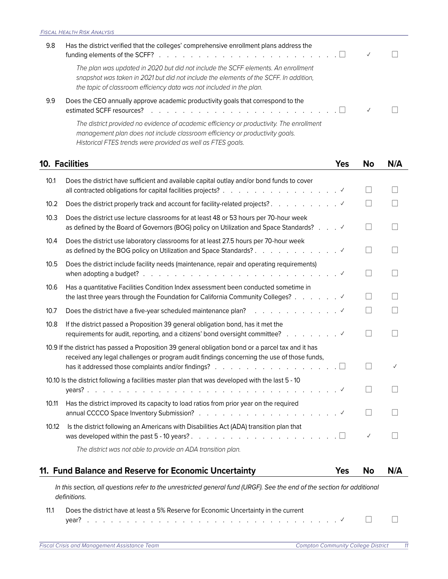<span id="page-11-0"></span>

| 9.8 | Has the district verified that the colleges' comprehensive enrollment plans address the<br>funding elements of the SCFF? $\ldots$ $\ldots$ $\ldots$ $\ldots$ $\ldots$ $\ldots$ $\ldots$ $\ldots$ $\ldots$ $\ldots$<br>$\checkmark$                 |  |
|-----|----------------------------------------------------------------------------------------------------------------------------------------------------------------------------------------------------------------------------------------------------|--|
|     | The plan was updated in 2020 but did not include the SCFF elements. An enrollment<br>snapshot was taken in 2021 but did not include the elements of the SCFF. In addition,<br>the topic of classroom efficiency data was not included in the plan. |  |
| 9.9 | Does the CEO annually approve academic productivity goals that correspond to the                                                                                                                                                                   |  |
|     | The district provided no evidence of academic efficiency or productivity. The enrollment<br>management plan does not include classroom efficiency or productivity goals.                                                                           |  |

*Historical FTES trends were provided as well as FTES goals.*

|       | <b>10. Facilities</b>                                                                                                                                                                                                                                                                                        | <b>Yes</b> | No                | N/A                         |
|-------|--------------------------------------------------------------------------------------------------------------------------------------------------------------------------------------------------------------------------------------------------------------------------------------------------------------|------------|-------------------|-----------------------------|
| 10.1  | Does the district have sufficient and available capital outlay and/or bond funds to cover                                                                                                                                                                                                                    |            | $\vert \ \ \vert$ | $\Box$                      |
| 10.2  |                                                                                                                                                                                                                                                                                                              |            | $\Box$            |                             |
| 10.3  | Does the district use lecture classrooms for at least 48 or 53 hours per 70-hour week<br>as defined by the Board of Governors (BOG) policy on Utilization and Space Standards?                                                                                                                               |            | $\vert \ \ \vert$ |                             |
| 10.4  | Does the district use laboratory classrooms for at least 27.5 hours per 70-hour week                                                                                                                                                                                                                         |            | $\mathsf{L}$      |                             |
| 10.5  | Does the district include facility needs (maintenance, repair and operating requirements)                                                                                                                                                                                                                    |            | $\mathsf{L}$      |                             |
| 10.6  | Has a quantitative Facilities Condition Index assessment been conducted sometime in<br>the last three years through the Foundation for California Community Colleges?                                                                                                                                        |            | $\mathbf{I}$      |                             |
| 10.7  |                                                                                                                                                                                                                                                                                                              |            |                   |                             |
| 10.8  | If the district passed a Proposition 39 general obligation bond, has it met the<br>requirements for audit, reporting, and a citizens' bond oversight committee?                                                                                                                                              |            | $\Box$            | $\Box$                      |
|       | 10.9 If the district has passed a Proposition 39 general obligation bond or a parcel tax and it has<br>received any legal challenges or program audit findings concerning the use of those funds,<br>has it addressed those complaints and/or findings? $\ldots$ , $\ldots$ , $\ldots$ , $\ldots$ , $\ldots$ |            | $\vert \ \ \vert$ | ✓                           |
|       | 10.10 Is the district following a facilities master plan that was developed with the last 5 - 10                                                                                                                                                                                                             |            | $\mathsf{L}$      |                             |
| 10.11 | Has the district improved its capacity to load ratios from prior year on the required                                                                                                                                                                                                                        |            | $\Box$            |                             |
| 10.12 | Is the district following an Americans with Disabilities Act (ADA) transition plan that                                                                                                                                                                                                                      |            | $\checkmark$      | $\mathcal{L}_{\mathcal{A}}$ |
|       | The district was not able to provide an ADA transition plan.                                                                                                                                                                                                                                                 |            |                   |                             |
|       | 11. Fund Balance and Reserve for Economic Uncertainty                                                                                                                                                                                                                                                        | <b>Yes</b> | <b>No</b>         | N/A                         |
|       | In this section, all questions refer to the unrestricted general fund (URGF). See the end of the section for additional<br>definitions.                                                                                                                                                                      |            |                   |                             |
| 11.1  | Does the district have at least a 5% Reserve for Economic Uncertainty in the current                                                                                                                                                                                                                         |            |                   |                             |

year? . . . . . . . . . . . . . . . . . . . . . . . . . . . . . . . .✓ ☐ ☐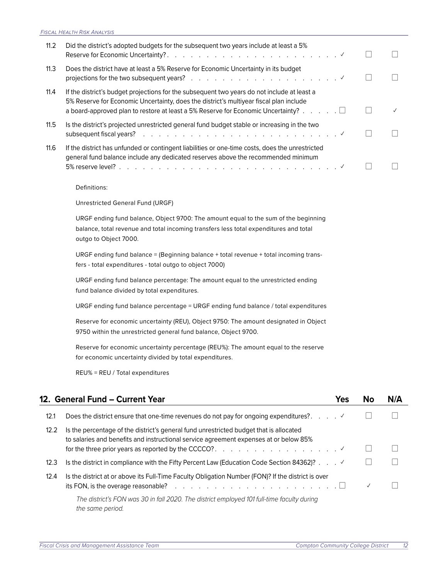<span id="page-12-0"></span>

| 11.2 | Did the district's adopted budgets for the subsequent two years include at least a 5%                                                                                                                                                                                                     |  |
|------|-------------------------------------------------------------------------------------------------------------------------------------------------------------------------------------------------------------------------------------------------------------------------------------------|--|
| 11.3 | Does the district have at least a 5% Reserve for Economic Uncertainty in its budget                                                                                                                                                                                                       |  |
| 11.4 | If the district's budget projections for the subsequent two years do not include at least a<br>5% Reserve for Economic Uncertainty, does the district's multiyear fiscal plan include<br>a board-approved plan to restore at least a 5% Reserve for Economic Uncertainty? $\ldots \ldots$ |  |
| 11.5 | Is the district's projected unrestricted general fund budget stable or increasing in the two<br>subsequent fiscal years? $\ldots$ $\ldots$ $\ldots$ $\ldots$ $\ldots$ $\ldots$ $\ldots$ $\ldots$ $\ldots$ $\ldots$                                                                        |  |
| 11.6 | If the district has unfunded or contingent liabilities or one-time costs, does the unrestricted<br>general fund balance include any dedicated reserves above the recommended minimum                                                                                                      |  |

Definitions:

Unrestricted General Fund (URGF)

URGF ending fund balance, Object 9700: The amount equal to the sum of the beginning balance, total revenue and total incoming transfers less total expenditures and total outgo to Object 7000.

URGF ending fund balance = (Beginning balance + total revenue + total incoming transfers - total expenditures - total outgo to object 7000)

URGF ending fund balance percentage: The amount equal to the unrestricted ending fund balance divided by total expenditures.

URGF ending fund balance percentage = URGF ending fund balance / total expenditures

Reserve for economic uncertainty (REU), Object 9750: The amount designated in Object 9750 within the unrestricted general fund balance, Object 9700.

Reserve for economic uncertainty percentage (REU%): The amount equal to the reserve for economic uncertainty divided by total expenditures.

REU% = REU / Total expenditures

|      | 12. General Fund – Current Year                                                                                                                                                 | Yes | No           | N/A |
|------|---------------------------------------------------------------------------------------------------------------------------------------------------------------------------------|-----|--------------|-----|
| 12.1 | Does the district ensure that one-time revenues do not pay for ongoing expenditures? $\ldots$                                                                                   |     |              |     |
| 12.2 | Is the percentage of the district's general fund unrestricted budget that is allocated<br>to salaries and benefits and instructional service agreement expenses at or below 85% |     |              |     |
| 12.3 | Is the district in compliance with the Fifty Percent Law (Education Code Section 84362)? $\ldots$                                                                               |     |              |     |
| 12.4 | Is the district at or above its Full-Time Faculty Obligation Number (FON)? If the district is over                                                                              |     | $\checkmark$ |     |
|      | The district's FON was 30 in fall 2020. The district employed 101 full-time faculty during<br>the same period.                                                                  |     |              |     |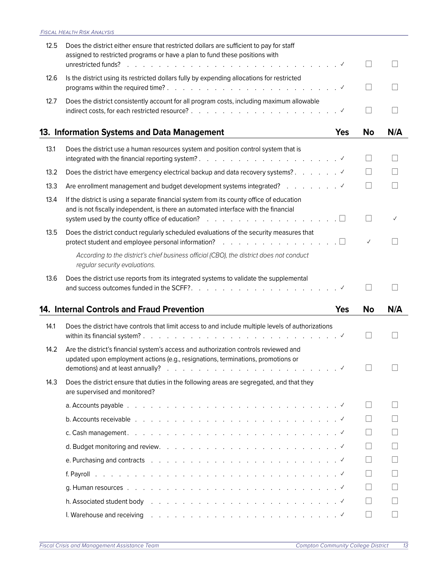<span id="page-13-0"></span>

| 12.5 | Does the district either ensure that restricted dollars are sufficient to pay for staff<br>assigned to restricted programs or have a plan to fund these positions with<br>unrestricted funds? $\cdots$ $\cdots$ $\cdots$ $\cdots$ $\cdots$ $\cdots$ $\cdots$ $\cdots$ $\cdots$ $\cdots$ $\cdots$ $\cdots$ $\cdots$ |            |                   |        |
|------|--------------------------------------------------------------------------------------------------------------------------------------------------------------------------------------------------------------------------------------------------------------------------------------------------------------------|------------|-------------------|--------|
| 12.6 | Is the district using its restricted dollars fully by expending allocations for restricted                                                                                                                                                                                                                         |            | $\vert \ \ \vert$ |        |
| 12.7 | Does the district consistently account for all program costs, including maximum allowable                                                                                                                                                                                                                          |            | $\mathbf{L}$      |        |
|      | 13. Information Systems and Data Management                                                                                                                                                                                                                                                                        | <b>Yes</b> | No                | N/A    |
| 13.1 | Does the district use a human resources system and position control system that is                                                                                                                                                                                                                                 |            | $\vert \ \ \vert$ | $\Box$ |
| 13.2 |                                                                                                                                                                                                                                                                                                                    |            |                   |        |
| 13.3 |                                                                                                                                                                                                                                                                                                                    |            | $\mathsf{L}$      | $\Box$ |
| 13.4 | If the district is using a separate financial system from its county office of education<br>and is not fiscally independent, is there an automated interface with the financial                                                                                                                                    |            |                   |        |
| 13.5 | Does the district conduct regularly scheduled evaluations of the security measures that<br>protect student and employee personal information? $\ldots$ $\square$                                                                                                                                                   |            | $\checkmark$      |        |
|      | According to the district's chief business official (CBO), the district does not conduct<br>regular security evaluations.                                                                                                                                                                                          |            |                   |        |
|      | Does the district use reports from its integrated systems to validate the supplemental                                                                                                                                                                                                                             |            |                   |        |
| 13.6 |                                                                                                                                                                                                                                                                                                                    |            |                   |        |
|      | 14. Internal Controls and Fraud Prevention                                                                                                                                                                                                                                                                         | <b>Yes</b> | <b>No</b>         | N/A    |
| 14.1 | Does the district have controls that limit access to and include multiple levels of authorizations                                                                                                                                                                                                                 |            |                   |        |
| 14.2 | Are the district's financial system's access and authorization controls reviewed and<br>updated upon employment actions (e.g., resignations, terminations, promotions or                                                                                                                                           |            |                   |        |
| 14.3 | Does the district ensure that duties in the following areas are segregated, and that they<br>are supervised and monitored?                                                                                                                                                                                         |            |                   |        |
|      |                                                                                                                                                                                                                                                                                                                    |            | $\mathsf{L}$      | $\Box$ |
|      |                                                                                                                                                                                                                                                                                                                    |            |                   |        |
|      |                                                                                                                                                                                                                                                                                                                    |            |                   |        |
|      |                                                                                                                                                                                                                                                                                                                    |            |                   |        |
|      |                                                                                                                                                                                                                                                                                                                    |            |                   |        |
|      |                                                                                                                                                                                                                                                                                                                    |            |                   |        |
|      |                                                                                                                                                                                                                                                                                                                    |            |                   |        |
|      | h. Associated student body references response to the contract of the contract of the contract of $\mathbb{R}^d$                                                                                                                                                                                                   |            |                   |        |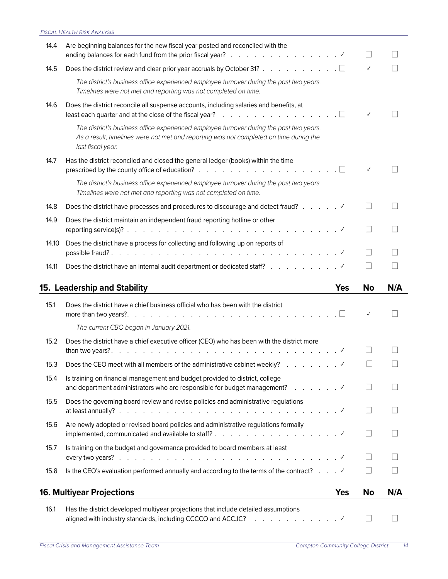<span id="page-14-0"></span>

| 14.4  | Are beginning balances for the new fiscal year posted and reconciled with the                                                                                                                          |            |                   |     |
|-------|--------------------------------------------------------------------------------------------------------------------------------------------------------------------------------------------------------|------------|-------------------|-----|
| 14.5  | Does the district review and clear prior year accruals by October 31? $\Box$                                                                                                                           |            | $\checkmark$      |     |
|       | The district's business office experienced employee turnover during the past two years.<br>Timelines were not met and reporting was not completed on time.                                             |            |                   |     |
| 14.6  | Does the district reconcile all suspense accounts, including salaries and benefits, at<br>least each quarter and at the close of the fiscal year? $\ldots$ , $\ldots$ , $\ldots$ , $\ldots$ , $\ldots$ |            | $\checkmark$      |     |
|       | The district's business office experienced employee turnover during the past two years.<br>As a result, timelines were not met and reporting was not completed on time during the<br>last fiscal year. |            |                   |     |
| 14.7  | Has the district reconciled and closed the general ledger (books) within the time<br>prescribed by the county office of education? $\ldots$ , $\ldots$ , $\ldots$ , $\ldots$ , $\ldots$ , $\ldots$     |            |                   |     |
|       | The district's business office experienced employee turnover during the past two years.<br>Timelines were not met and reporting was not completed on time.                                             |            |                   |     |
| 14.8  |                                                                                                                                                                                                        |            |                   |     |
| 14.9  | Does the district maintain an independent fraud reporting hotline or other                                                                                                                             |            |                   |     |
| 14.10 | Does the district have a process for collecting and following up on reports of                                                                                                                         |            | $\mathsf{L}$      |     |
| 14.11 | Does the district have an internal audit department or dedicated staff?                                                                                                                                |            |                   |     |
|       |                                                                                                                                                                                                        |            |                   |     |
|       |                                                                                                                                                                                                        |            |                   |     |
|       | 15. Leadership and Stability                                                                                                                                                                           | <b>Yes</b> | No                | N/A |
| 15.1  | Does the district have a chief business official who has been with the district<br>more than two years?. $\ldots$ . $\ldots$ . $\ldots$ . $\ldots$ . $\ldots$ . $\ldots$ . $\ldots$ . $\ldots$         |            | $\checkmark$      |     |
|       | The current CBO began in January 2021.                                                                                                                                                                 |            |                   |     |
| 15.2  | Does the district have a chief executive officer (CEO) who has been with the district more                                                                                                             |            |                   |     |
| 15.3  | Does the CEO meet with all members of the administrative cabinet weekly?                                                                                                                               |            |                   |     |
| 15.4  | Is training on financial management and budget provided to district, college                                                                                                                           |            |                   |     |
| 15.5  | Does the governing board review and revise policies and administrative regulations                                                                                                                     |            | $\Box$            |     |
| 15.6  | Are newly adopted or revised board policies and administrative regulations formally                                                                                                                    |            |                   |     |
| 15.7  | Is training on the budget and governance provided to board members at least                                                                                                                            |            |                   |     |
| 15.8  | Is the CEO's evaluation performed annually and according to the terms of the contract? $\ldots$                                                                                                        |            | $\vert \ \ \vert$ |     |
|       | <b>16. Multiyear Projections</b>                                                                                                                                                                       | <b>Yes</b> | No                | N/A |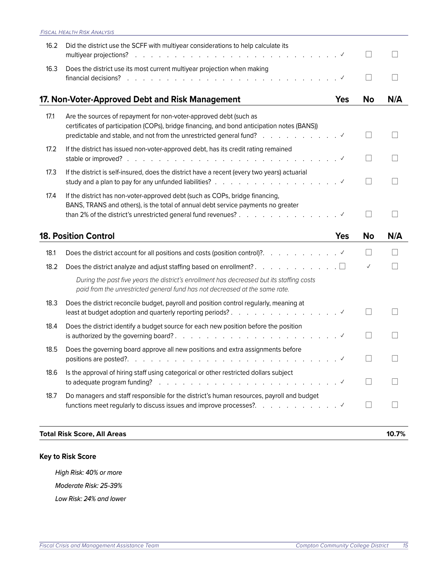<span id="page-15-0"></span>

| 16.2 | Did the district use the SCFF with multiyear considerations to help calculate its<br>multiyear projections?                                                                                                     |            |                          |     |
|------|-----------------------------------------------------------------------------------------------------------------------------------------------------------------------------------------------------------------|------------|--------------------------|-----|
| 16.3 | Does the district use its most current multiyear projection when making                                                                                                                                         |            |                          |     |
|      | 17. Non-Voter-Approved Debt and Risk Management                                                                                                                                                                 | <b>Yes</b> | <b>No</b>                | N/A |
| 17.1 | Are the sources of repayment for non-voter-approved debt (such as<br>certificates of participation (COPs), bridge financing, and bond anticipation notes (BANS))                                                |            |                          |     |
| 17.2 | If the district has issued non-voter-approved debt, has its credit rating remained                                                                                                                              |            | $\overline{\phantom{a}}$ |     |
| 17.3 | If the district is self-insured, does the district have a recent (every two years) actuarial                                                                                                                    |            |                          |     |
| 17.4 | If the district has non-voter-approved debt (such as COPs, bridge financing,<br>BANS, TRANS and others), is the total of annual debt service payments no greater                                                |            | $\vert \ \ \vert$        |     |
|      |                                                                                                                                                                                                                 |            |                          |     |
|      | <b>18. Position Control</b>                                                                                                                                                                                     | <b>Yes</b> | <b>No</b>                | N/A |
| 18.1 |                                                                                                                                                                                                                 |            |                          |     |
| 18.2 | Does the district analyze and adjust staffing based on enrollment?. $\ldots$ $\square$                                                                                                                          |            | $\checkmark$             |     |
|      | During the past five years the district's enrollment has decreased but its staffing costs<br>paid from the unrestricted general fund has not decreased at the same rate.                                        |            |                          |     |
| 18.3 | Does the district reconcile budget, payroll and position control regularly, meaning at                                                                                                                          |            |                          |     |
| 18.4 | Does the district identify a budget source for each new position before the position                                                                                                                            |            | $\overline{\phantom{a}}$ |     |
| 18.5 | Does the governing board approve all new positions and extra assignments before                                                                                                                                 |            |                          |     |
| 18.6 | Is the approval of hiring staff using categorical or other restricted dollars subject<br>to adequate program funding? $\ldots$ $\ldots$ $\ldots$ $\ldots$ $\ldots$ $\ldots$ $\ldots$ $\ldots$ $\ldots$ $\ldots$ |            |                          |     |
| 18.7 | Do managers and staff responsible for the district's human resources, payroll and budget                                                                                                                        |            | $\mathsf{L}$             |     |

#### **Total Risk Score, All Areas 10.7%**

## **Key to Risk Score**

*High Risk: 40% or more Moderate Risk: 25-39% Low Risk: 24% and lower*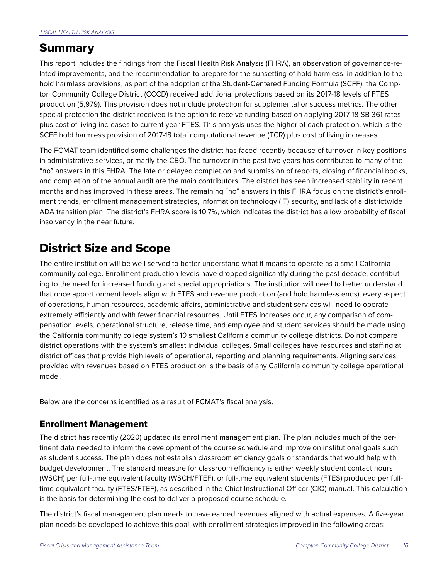# <span id="page-16-0"></span>Summary

This report includes the findings from the Fiscal Health Risk Analysis (FHRA), an observation of governance-related improvements, and the recommendation to prepare for the sunsetting of hold harmless. In addition to the hold harmless provisions, as part of the adoption of the Student-Centered Funding Formula (SCFF), the Compton Community College District (CCCD) received additional protections based on its 2017-18 levels of FTES production (5,979). This provision does not include protection for supplemental or success metrics. The other special protection the district received is the option to receive funding based on applying 2017-18 SB 361 rates plus cost of living increases to current year FTES. This analysis uses the higher of each protection, which is the SCFF hold harmless provision of 2017-18 total computational revenue (TCR) plus cost of living increases.

The FCMAT team identified some challenges the district has faced recently because of turnover in key positions in administrative services, primarily the CBO. The turnover in the past two years has contributed to many of the "no" answers in this FHRA. The late or delayed completion and submission of reports, closing of financial books, and completion of the annual audit are the main contributors. The district has seen increased stability in recent months and has improved in these areas. The remaining "no" answers in this FHRA focus on the district's enrollment trends, enrollment management strategies, information technology (IT) security, and lack of a districtwide ADA transition plan. The district's FHRA score is 10.7%, which indicates the district has a low probability of fiscal insolvency in the near future.

# District Size and Scope

The entire institution will be well served to better understand what it means to operate as a small California community college. Enrollment production levels have dropped significantly during the past decade, contributing to the need for increased funding and special appropriations. The institution will need to better understand that once apportionment levels align with FTES and revenue production (and hold harmless ends), every aspect of operations, human resources, academic affairs, administrative and student services will need to operate extremely efficiently and with fewer financial resources. Until FTES increases occur, any comparison of compensation levels, operational structure, release time, and employee and student services should be made using the California community college system's 10 smallest California community college districts. Do not compare district operations with the system's smallest individual colleges. Small colleges have resources and staffing at district offices that provide high levels of operational, reporting and planning requirements. Aligning services provided with revenues based on FTES production is the basis of any California community college operational model.

Below are the concerns identified as a result of FCMAT's fiscal analysis.

## Enrollment Management

The district has recently (2020) updated its enrollment management plan. The plan includes much of the pertinent data needed to inform the development of the course schedule and improve on institutional goals such as student success. The plan does not establish classroom efficiency goals or standards that would help with budget development. The standard measure for classroom efficiency is either weekly student contact hours (WSCH) per full-time equivalent faculty (WSCH/FTEF), or full-time equivalent students (FTES) produced per fulltime equivalent faculty (FTES/FTEF), as described in the Chief Instructional Officer (CIO) manual. This calculation is the basis for determining the cost to deliver a proposed course schedule.

The district's fiscal management plan needs to have earned revenues aligned with actual expenses. A five-year plan needs be developed to achieve this goal, with enrollment strategies improved in the following areas: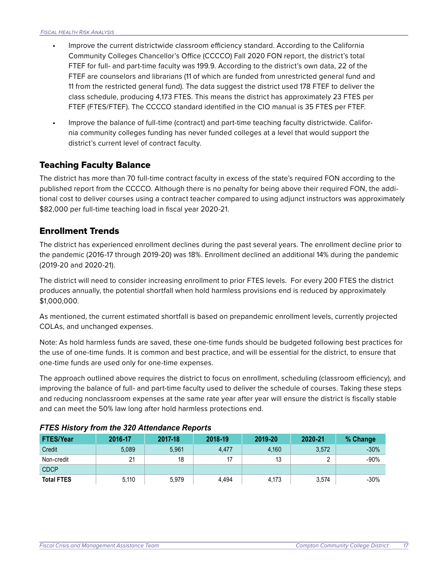- **•** Improve the current districtwide classroom efficiency standard. According to the California Community Colleges Chancellor's Office (CCCCO) Fall 2020 FON report, the district's total FTEF for full- and part-time faculty was 199.9. According to the district's own data, 22 of the FTEF are counselors and librarians (11 of which are funded from unrestricted general fund and 11 from the restricted general fund). The data suggest the district used 178 FTEF to deliver the class schedule, producing 4,173 FTES. This means the district has approximately 23 FTES per FTEF (FTES/FTEF). The CCCCO standard identified in the CIO manual is 35 FTES per FTEF.
- **•** Improve the balance of full-time (contract) and part-time teaching faculty districtwide. California community colleges funding has never funded colleges at a level that would support the district's current level of contract faculty.

## Teaching Faculty Balance

The district has more than 70 full-time contract faculty in excess of the state's required FON according to the published report from the CCCCO. Although there is no penalty for being above their required FON, the additional cost to deliver courses using a contract teacher compared to using adjunct instructors was approximately \$82,000 per full-time teaching load in fiscal year 2020-21.

## Enrollment Trends

The district has experienced enrollment declines during the past several years. The enrollment decline prior to the pandemic (2016-17 through 2019-20) was 18%. Enrollment declined an additional 14% during the pandemic (2019-20 and 2020-21).

The district will need to consider increasing enrollment to prior FTES levels. For every 200 FTES the district produces annually, the potential shortfall when hold harmless provisions end is reduced by approximately \$1,000,000.

As mentioned, the current estimated shortfall is based on prepandemic enrollment levels, currently projected COLAs, and unchanged expenses.

Note: As hold harmless funds are saved, these one-time funds should be budgeted following best practices for the use of one-time funds. It is common and best practice, and will be essential for the district, to ensure that one-time funds are used only for one-time expenses.

The approach outlined above requires the district to focus on enrollment, scheduling (classroom efficiency), and improving the balance of full- and part-time faculty used to deliver the schedule of courses. Taking these steps and reducing nonclassroom expenses at the same rate year after year will ensure the district is fiscally stable and can meet the 50% law long after hold harmless protections end.

| <b>FTES/Year</b>  | 2016-17 | 2017-18 | 2018-19 | 2019-20 | 2020-21 | % Change |
|-------------------|---------|---------|---------|---------|---------|----------|
| Credit            | 5,089   | 5.961   | 4.477   | 4.160   | 3,572   | $-30%$   |
| Non-credit        | 21      | 18      |         | 13      | $\sim$  | $-90%$   |
| <b>CDCP</b>       |         |         |         |         |         |          |
| <b>Total FTES</b> | 5,110   | 5,979   | 4.494   | 4,173   | 3,574   | $-30%$   |

#### *FTES History from the 320 Attendance Reports*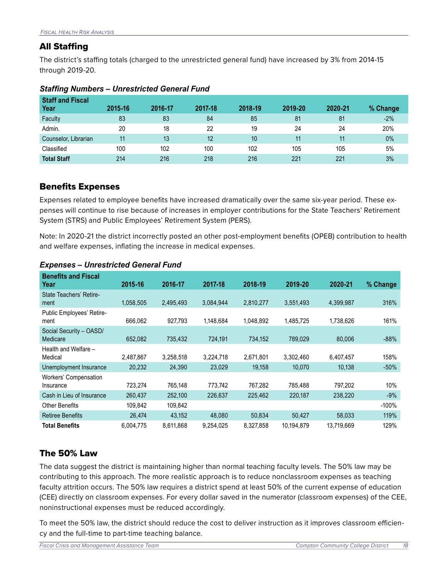### All Staffing

The district's staffing totals (charged to the unrestricted general fund) have increased by 3% from 2014-15 through 2019-20.

| <b>Staff and Fiscal</b><br>Year | 2015-16 | 2016-17 | 2017-18 | 2018-19 | 2019-20 | 2020-21 | % Change |
|---------------------------------|---------|---------|---------|---------|---------|---------|----------|
| Faculty                         | 83      | 83      | 84      | 85      | 81      | 81      | $-2\%$   |
| Admin.                          | 20      | 18      | 22      | 19      | 24      | 24      | 20%      |
| Counselor, Librarian            | 11      | 13      | 12      | 10      | 11      | 11      | $0\%$    |
| Classified                      | 100     | 102     | 100     | 102     | 105     | 105     | 5%       |
| <b>Total Staff</b>              | 214     | 216     | 218     | 216     | 221     | 221     | 3%       |

#### *Staffing Numbers – Unrestricted General Fund*

### Benefits Expenses

Expenses related to employee benefits have increased dramatically over the same six-year period. These expenses will continue to rise because of increases in employer contributions for the State Teachers' Retirement System (STRS) and Public Employees' Retirement System (PERS).

Note: In 2020-21 the district incorrectly posted an other post-employment benefits (OPEB) contribution to health and welfare expenses, inflating the increase in medical expenses.

| <b>Benefits and Fiscal</b><br>Year  | 2015-16   | 2016-17   | 2017-18   | 2018-19   | 2019-20    | 2020-21    | % Change |
|-------------------------------------|-----------|-----------|-----------|-----------|------------|------------|----------|
| State Teachers' Retire-<br>ment     | 1,058,505 | 2,495,493 | 3,084,944 | 2,810,277 | 3,551,493  | 4,399,987  | 316%     |
| Public Employees' Retire-<br>ment   | 666.062   | 927,793   | 1,148,684 | 1,048,892 | 1,485,725  | 1,738,626  | 161%     |
| Social Security - OASD/<br>Medicare | 652,082   | 735,432   | 724.191   | 734,152   | 789,029    | 80.006     | $-88%$   |
| Health and Welfare -<br>Medical     | 2,487,867 | 3,258,518 | 3,224,718 | 2,671,801 | 3,302,460  | 6,407,457  | 158%     |
| Unemployment Insurance              | 20,232    | 24,390    | 23,029    | 19,158    | 10,070     | 10,138     | $-50%$   |
| Workers' Compensation<br>Insurance  | 723,274   | 765,148   | 773,742   | 767,282   | 785,488    | 797,202    | 10%      |
| Cash in Lieu of Insurance           | 260,437   | 252,100   | 226,637   | 225,462   | 220,187    | 238,220    | $-9%$    |
| <b>Other Benefits</b>               | 109,842   | 109,842   |           |           |            |            | $-100%$  |
| <b>Retiree Benefits</b>             | 26,474    | 43,152    | 48,080    | 50,834    | 50,427     | 58,033     | 119%     |
| <b>Total Benefits</b>               | 6,004,775 | 8,611,868 | 9,254,025 | 8,327,858 | 10,194,879 | 13,719,669 | 129%     |

#### *Expenses – Unrestricted General Fund*

## The 50% Law

The data suggest the district is maintaining higher than normal teaching faculty levels. The 50% law may be contributing to this approach. The more realistic approach is to reduce nonclassroom expenses as teaching faculty attrition occurs. The 50% law requires a district spend at least 50% of the current expense of education (CEE) directly on classroom expenses. For every dollar saved in the numerator (classroom expenses) of the CEE, noninstructional expenses must be reduced accordingly.

To meet the 50% law, the district should reduce the cost to deliver instruction as it improves classroom efficiency and the full-time to part-time teaching balance.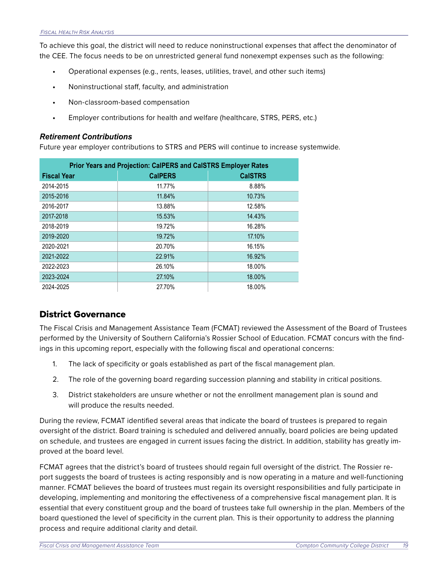To achieve this goal, the district will need to reduce noninstructional expenses that affect the denominator of the CEE. The focus needs to be on unrestricted general fund nonexempt expenses such as the following:

- **•** Operational expenses (e.g., rents, leases, utilities, travel, and other such items)
- **•** Noninstructional staff, faculty, and administration
- **•** Non-classroom-based compensation
- **•** Employer contributions for health and welfare (healthcare, STRS, PERS, etc.)

#### *Retirement Contributions*

Future year employer contributions to STRS and PERS will continue to increase systemwide.

| Prior Years and Projection: CalPERS and CalSTRS Employer Rates |                |                |  |  |  |
|----------------------------------------------------------------|----------------|----------------|--|--|--|
| <b>Fiscal Year</b>                                             | <b>CalPERS</b> | <b>CalSTRS</b> |  |  |  |
| 2014-2015                                                      | 11.77%         | 8.88%          |  |  |  |
| 2015-2016                                                      | 11.84%         | 10.73%         |  |  |  |
| 2016-2017                                                      | 13.88%         | 12.58%         |  |  |  |
| 2017-2018                                                      | 15.53%         | 14.43%         |  |  |  |
| 2018-2019                                                      | 19.72%         | 16.28%         |  |  |  |
| 2019-2020                                                      | 19.72%         | 17.10%         |  |  |  |
| 2020-2021                                                      | 20.70%         | 16.15%         |  |  |  |
| 2021-2022                                                      | 22.91%         | 16.92%         |  |  |  |
| 2022-2023                                                      | 26.10%         | 18.00%         |  |  |  |
| 2023-2024                                                      | 27.10%         | 18.00%         |  |  |  |
| 2024-2025                                                      | 27.70%         | 18.00%         |  |  |  |

### District Governance

The Fiscal Crisis and Management Assistance Team (FCMAT) reviewed the Assessment of the Board of Trustees performed by the University of Southern California's Rossier School of Education. FCMAT concurs with the findings in this upcoming report, especially with the following fiscal and operational concerns:

- 1. The lack of specificity or goals established as part of the fiscal management plan.
- 2. The role of the governing board regarding succession planning and stability in critical positions.
- 3. District stakeholders are unsure whether or not the enrollment management plan is sound and will produce the results needed.

During the review, FCMAT identified several areas that indicate the board of trustees is prepared to regain oversight of the district. Board training is scheduled and delivered annually, board policies are being updated on schedule, and trustees are engaged in current issues facing the district. In addition, stability has greatly improved at the board level.

FCMAT agrees that the district's board of trustees should regain full oversight of the district. The Rossier report suggests the board of trustees is acting responsibly and is now operating in a mature and well-functioning manner. FCMAT believes the board of trustees must regain its oversight responsibilities and fully participate in developing, implementing and monitoring the effectiveness of a comprehensive fiscal management plan. It is essential that every constituent group and the board of trustees take full ownership in the plan. Members of the board questioned the level of specificity in the current plan. This is their opportunity to address the planning process and require additional clarity and detail.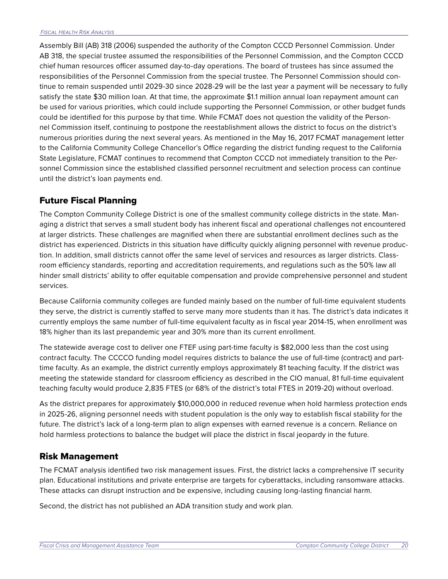Assembly Bill (AB) 318 (2006) suspended the authority of the Compton CCCD Personnel Commission. Under AB 318, the special trustee assumed the responsibilities of the Personnel Commission, and the Compton CCCD chief human resources officer assumed day-to-day operations. The board of trustees has since assumed the responsibilities of the Personnel Commission from the special trustee. The Personnel Commission should continue to remain suspended until 2029-30 since 2028-29 will be the last year a payment will be necessary to fully satisfy the state \$30 million loan. At that time, the approximate \$1.1 million annual loan repayment amount can be used for various priorities, which could include supporting the Personnel Commission, or other budget funds could be identified for this purpose by that time. While FCMAT does not question the validity of the Personnel Commission itself, continuing to postpone the reestablishment allows the district to focus on the district's numerous priorities during the next several years. As mentioned in the May 16, 2017 FCMAT management letter to the California Community College Chancellor's Office regarding the district funding request to the California State Legislature, FCMAT continues to recommend that Compton CCCD not immediately transition to the Personnel Commission since the established classified personnel recruitment and selection process can continue until the district's loan payments end.

## Future Fiscal Planning

The Compton Community College District is one of the smallest community college districts in the state. Managing a district that serves a small student body has inherent fiscal and operational challenges not encountered at larger districts. These challenges are magnified when there are substantial enrollment declines such as the district has experienced. Districts in this situation have difficulty quickly aligning personnel with revenue production. In addition, small districts cannot offer the same level of services and resources as larger districts. Classroom efficiency standards, reporting and accreditation requirements, and regulations such as the 50% law all hinder small districts' ability to offer equitable compensation and provide comprehensive personnel and student services.

Because California community colleges are funded mainly based on the number of full-time equivalent students they serve, the district is currently staffed to serve many more students than it has. The district's data indicates it currently employs the same number of full-time equivalent faculty as in fiscal year 2014-15, when enrollment was 18% higher than its last prepandemic year and 30% more than its current enrollment.

The statewide average cost to deliver one FTEF using part-time faculty is \$82,000 less than the cost using contract faculty. The CCCCO funding model requires districts to balance the use of full-time (contract) and parttime faculty. As an example, the district currently employs approximately 81 teaching faculty. If the district was meeting the statewide standard for classroom efficiency as described in the CIO manual, 81 full-time equivalent teaching faculty would produce 2,835 FTES (or 68% of the district's total FTES in 2019-20) without overload.

As the district prepares for approximately \$10,000,000 in reduced revenue when hold harmless protection ends in 2025-26, aligning personnel needs with student population is the only way to establish fiscal stability for the future. The district's lack of a long-term plan to align expenses with earned revenue is a concern. Reliance on hold harmless protections to balance the budget will place the district in fiscal jeopardy in the future.

### Risk Management

The FCMAT analysis identified two risk management issues. First, the district lacks a comprehensive IT security plan. Educational institutions and private enterprise are targets for cyberattacks, including ransomware attacks. These attacks can disrupt instruction and be expensive, including causing long-lasting financial harm.

Second, the district has not published an ADA transition study and work plan.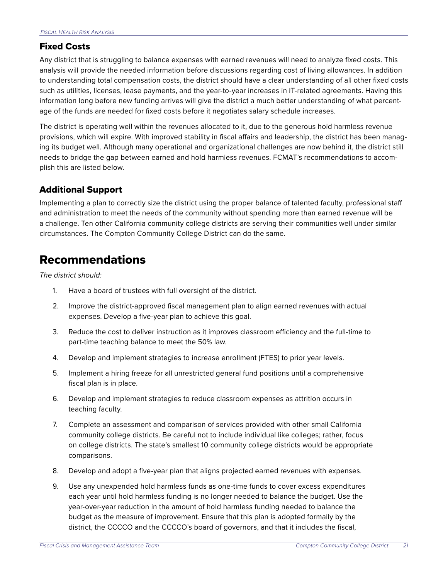### <span id="page-21-0"></span>Fixed Costs

Any district that is struggling to balance expenses with earned revenues will need to analyze fixed costs. This analysis will provide the needed information before discussions regarding cost of living allowances. In addition to understanding total compensation costs, the district should have a clear understanding of all other fixed costs such as utilities, licenses, lease payments, and the year-to-year increases in IT-related agreements. Having this information long before new funding arrives will give the district a much better understanding of what percentage of the funds are needed for fixed costs before it negotiates salary schedule increases.

The district is operating well within the revenues allocated to it, due to the generous hold harmless revenue provisions, which will expire. With improved stability in fiscal affairs and leadership, the district has been managing its budget well. Although many operational and organizational challenges are now behind it, the district still needs to bridge the gap between earned and hold harmless revenues. FCMAT's recommendations to accomplish this are listed below.

## Additional Support

Implementing a plan to correctly size the district using the proper balance of talented faculty, professional staff and administration to meet the needs of the community without spending more than earned revenue will be a challenge. Ten other California community college districts are serving their communities well under similar circumstances. The Compton Community College District can do the same.

# Recommendations

*The district should:*

- 1. Have a board of trustees with full oversight of the district.
- 2. Improve the district-approved fiscal management plan to align earned revenues with actual expenses. Develop a five-year plan to achieve this goal.
- 3. Reduce the cost to deliver instruction as it improves classroom efficiency and the full-time to part-time teaching balance to meet the 50% law.
- 4. Develop and implement strategies to increase enrollment (FTES) to prior year levels.
- 5. Implement a hiring freeze for all unrestricted general fund positions until a comprehensive fiscal plan is in place.
- 6. Develop and implement strategies to reduce classroom expenses as attrition occurs in teaching faculty.
- 7. Complete an assessment and comparison of services provided with other small California community college districts. Be careful not to include individual like colleges; rather, focus on college districts. The state's smallest 10 community college districts would be appropriate comparisons.
- 8. Develop and adopt a five-year plan that aligns projected earned revenues with expenses.
- 9. Use any unexpended hold harmless funds as one-time funds to cover excess expenditures each year until hold harmless funding is no longer needed to balance the budget. Use the year-over-year reduction in the amount of hold harmless funding needed to balance the budget as the measure of improvement. Ensure that this plan is adopted formally by the district, the CCCCO and the CCCCO's board of governors, and that it includes the fiscal,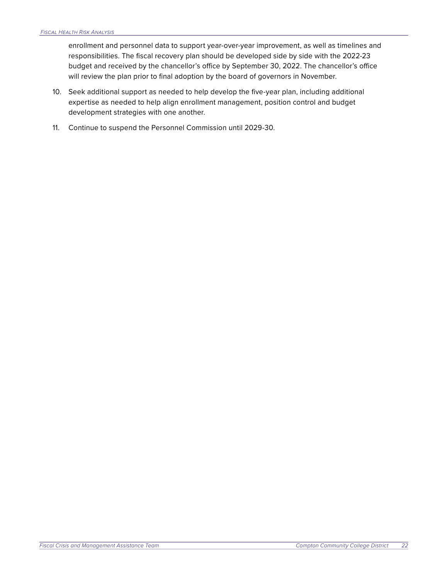enrollment and personnel data to support year-over-year improvement, as well as timelines and responsibilities. The fiscal recovery plan should be developed side by side with the 2022-23 budget and received by the chancellor's office by September 30, 2022. The chancellor's office will review the plan prior to final adoption by the board of governors in November.

- 10. Seek additional support as needed to help develop the five-year plan, including additional expertise as needed to help align enrollment management, position control and budget development strategies with one another.
- 11. Continue to suspend the Personnel Commission until 2029-30.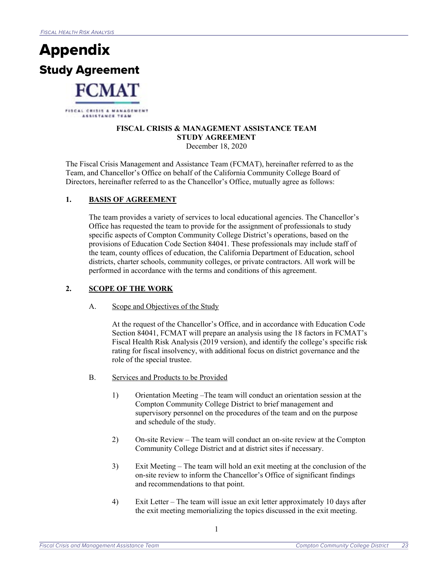

#### **FISCAL CRISIS & MANAGEMENT ASSISTANCE TEAM STUDY AGREEMENT**  December 18, 2020

The Fiscal Crisis Management and Assistance Team (FCMAT), hereinafter referred to as the Team, and Chancellor's Office on behalf of the California Community College Board of Directors, hereinafter referred to as the Chancellor's Office, mutually agree as follows:

#### 1. **BASIS OF AGREEMENT**

The team provides a variety of services to local educational agencies. The Chancellor's Office has requested the team to provide for the assignment of professionals to study specific aspects of Compton Community College District's operations, based on the provisions of Education Code Section 84041. These professionals may include staff of the team, county offices of education, the California Department of Education, school districts, charter schools, community colleges, or private contractors. All work will be performed in accordance with the terms and conditions of this agreement.

#### **2. SCOPE OF THE WORK**

A. Scope and Objectives of the Study

At the request of the Chancellor's Office, and in accordance with Education Code Section 84041, FCMAT will prepare an analysis using the 18 factors in FCMAT's Fiscal Health Risk Analysis (2019 version), and identify the college's specific risk rating for fiscal insolvency, with additional focus on district governance and the role of the special trustee.

- B. Services and Products to be Provided
	- 1) Orientation Meeting –The team will conduct an orientation session at the Compton Community College District to brief management and supervisory personnel on the procedures of the team and on the purpose and schedule of the study.
	- 2) On-site Review The team will conduct an on-site review at the Compton Community College District and at district sites if necessary.
	- 3) Exit Meeting The team will hold an exit meeting at the conclusion of the on-site review to inform the Chancellor's Office of significant findings and recommendations to that point.
	- 4) Exit Letter The team will issue an exit letter approximately 10 days after the exit meeting memorializing the topics discussed in the exit meeting.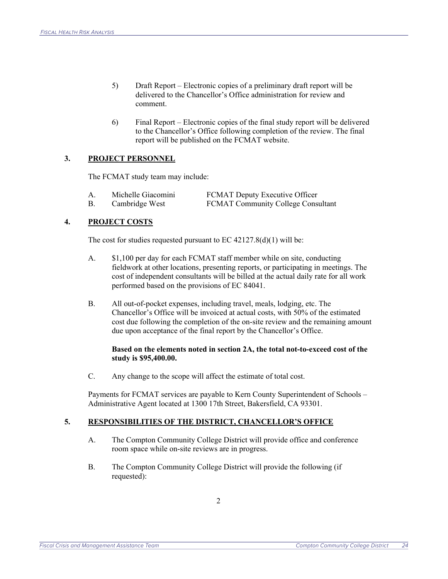- 5) Draft Report Electronic copies of a preliminary draft report will be delivered to the Chancellor's Office administration for review and comment.
- 6) Final Report Electronic copies of the final study report will be delivered to the Chancellor's Office following completion of the review. The final report will be published on the FCMAT website.

#### **3. PROJECT PERSONNEL**

The FCMAT study team may include:

| Α. | Michelle Giacomini | FCMAT Deputy Executive Officer            |
|----|--------------------|-------------------------------------------|
|    | Cambridge West     | <b>FCMAT Community College Consultant</b> |

#### **4. PROJECT COSTS**

The cost for studies requested pursuant to EC  $42127.8(d)(1)$  will be:

- A. \$1,100 per day for each FCMAT staff member while on site, conducting fieldwork at other locations, presenting reports, or participating in meetings. The cost of independent consultants will be billed at the actual daily rate for all work performed based on the provisions of EC 84041.
- B. All out-of-pocket expenses, including travel, meals, lodging, etc. The Chancellor's Office will be invoiced at actual costs, with 50% of the estimated cost due following the completion of the on-site review and the remaining amount due upon acceptance of the final report by the Chancellor's Office.

#### **Based on the elements noted in section 2A, the total not-to-exceed cost of the study is \$95,400.00.**

C. Any change to the scope will affect the estimate of total cost.

Payments for FCMAT services are payable to Kern County Superintendent of Schools – Administrative Agent located at 1300 17th Street, Bakersfield, CA 93301.

#### **5. RESPONSIBILITIES OF THE DISTRICT, CHANCELLOR'S OFFICE**

- A. The Compton Community College District will provide office and conference room space while on-site reviews are in progress.
- B. The Compton Community College District will provide the following (if requested):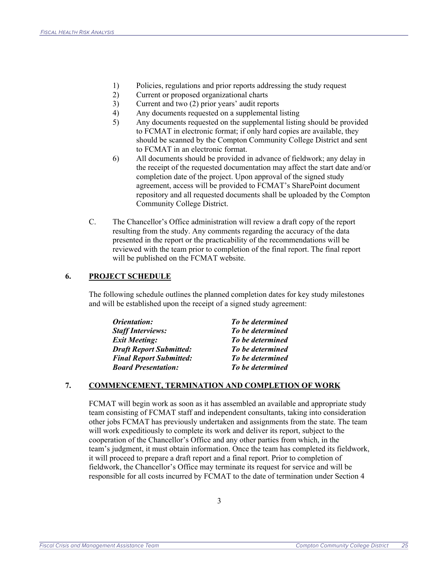- 1) Policies, regulations and prior reports addressing the study request
- 2) Current or proposed organizational charts
- 3) Current and two (2) prior years' audit reports
- 4) Any documents requested on a supplemental listing
- 5) Any documents requested on the supplemental listing should be provided to FCMAT in electronic format; if only hard copies are available, they should be scanned by the Compton Community College District and sent to FCMAT in an electronic format.
- 6) All documents should be provided in advance of fieldwork; any delay in the receipt of the requested documentation may affect the start date and/or completion date of the project. Upon approval of the signed study agreement, access will be provided to FCMAT's SharePoint document repository and all requested documents shall be uploaded by the Compton Community College District.
- C. The Chancellor's Office administration will review a draft copy of the report resulting from the study. Any comments regarding the accuracy of the data presented in the report or the practicability of the recommendations will be reviewed with the team prior to completion of the final report. The final report will be published on the FCMAT website.

#### **6. PROJECT SCHEDULE**

The following schedule outlines the planned completion dates for key study milestones and will be established upon the receipt of a signed study agreement:

| Orientation:                   | To be determined |
|--------------------------------|------------------|
| <b>Staff Interviews:</b>       | To be determined |
| <b>Exit Meeting:</b>           | To be determined |
| <b>Draft Report Submitted:</b> | To be determined |
| <b>Final Report Submitted:</b> | To be determined |
| <b>Board Presentation:</b>     | To be determined |

#### **7. COMMENCEMENT, TERMINATION AND COMPLETION OF WORK**

FCMAT will begin work as soon as it has assembled an available and appropriate study team consisting of FCMAT staff and independent consultants, taking into consideration other jobs FCMAT has previously undertaken and assignments from the state. The team will work expeditiously to complete its work and deliver its report, subject to the cooperation of the Chancellor's Office and any other parties from which, in the team's judgment, it must obtain information. Once the team has completed its fieldwork, it will proceed to prepare a draft report and a final report. Prior to completion of fieldwork, the Chancellor's Office may terminate its request for service and will be responsible for all costs incurred by FCMAT to the date of termination under Section 4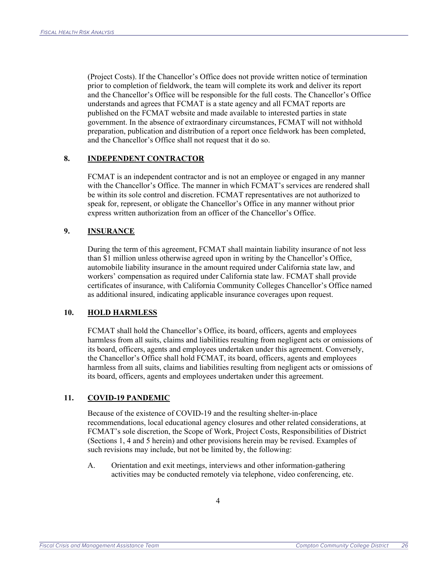(Project Costs). If the Chancellor's Office does not provide written notice of termination prior to completion of fieldwork, the team will complete its work and deliver its report and the Chancellor's Office will be responsible for the full costs. The Chancellor's Office understands and agrees that FCMAT is a state agency and all FCMAT reports are published on the FCMAT website and made available to interested parties in state government. In the absence of extraordinary circumstances, FCMAT will not withhold preparation, publication and distribution of a report once fieldwork has been completed, and the Chancellor's Office shall not request that it do so.

#### **8. INDEPENDENT CONTRACTOR**

FCMAT is an independent contractor and is not an employee or engaged in any manner with the Chancellor's Office. The manner in which FCMAT's services are rendered shall be within its sole control and discretion. FCMAT representatives are not authorized to speak for, represent, or obligate the Chancellor's Office in any manner without prior express written authorization from an officer of the Chancellor's Office.

#### **9. INSURANCE**

During the term of this agreement, FCMAT shall maintain liability insurance of not less than \$1 million unless otherwise agreed upon in writing by the Chancellor's Office, automobile liability insurance in the amount required under California state law, and workers' compensation as required under California state law. FCMAT shall provide certificates of insurance, with California Community Colleges Chancellor's Office named as additional insured, indicating applicable insurance coverages upon request.

#### **10. HOLD HARMLESS**

FCMAT shall hold the Chancellor's Office, its board, officers, agents and employees harmless from all suits, claims and liabilities resulting from negligent acts or omissions of its board, officers, agents and employees undertaken under this agreement. Conversely, the Chancellor's Office shall hold FCMAT, its board, officers, agents and employees harmless from all suits, claims and liabilities resulting from negligent acts or omissions of its board, officers, agents and employees undertaken under this agreement.

#### **11. COVID-19 PANDEMIC**

Because of the existence of COVID-19 and the resulting shelter-in-place recommendations, local educational agency closures and other related considerations, at FCMAT's sole discretion, the Scope of Work, Project Costs, Responsibilities of District (Sections 1, 4 and 5 herein) and other provisions herein may be revised. Examples of such revisions may include, but not be limited by, the following:

A. Orientation and exit meetings, interviews and other information-gathering activities may be conducted remotely via telephone, video conferencing, etc.